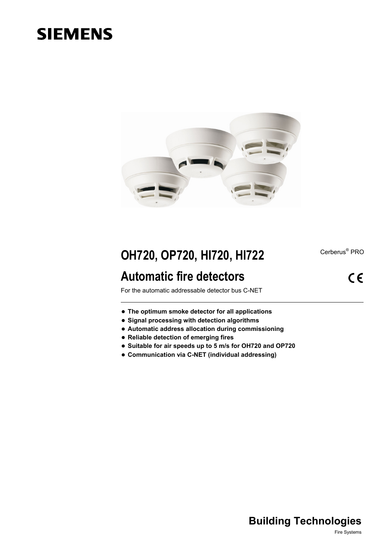# **SIEMENS**



## **OH720, OP720, HI720, HI722**

## **Automatic fire detectors**

Cerberus<sup>®</sup> PRO

 $C \in$ 

For the automatic addressable detector bus C-NET

- **The optimum smoke detector for all applications**
- **Signal processing with detection algorithms**
- **Automatic address allocation during commissioning**
- **Reliable detection of emerging fires**
- **Suitable for air speeds up to 5 m/s for OH720 and OP720**
- **Communication via C-NET (individual addressing)**

### **Building Technologies**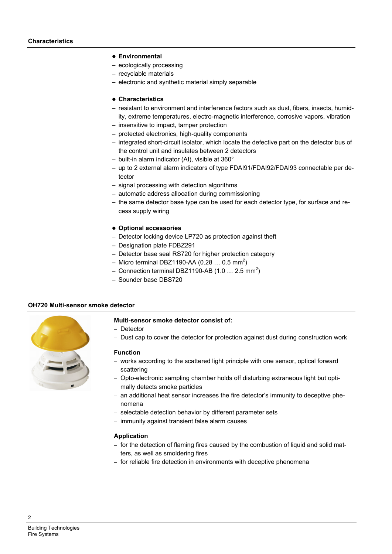#### **Environmental**

- ecologically processing
- recyclable materials
- electronic and synthetic material simply separable

#### **Characteristics**

- resistant to environment and interference factors such as dust, fibers, insects, humidity, extreme temperatures, electro-magnetic interference, corrosive vapors, vibration
- insensitive to impact, tamper protection
- protected electronics, high-quality components
- integrated short-circuit isolator, which locate the defective part on the detector bus of the control unit and insulates between 2 detectors
- built-in alarm indicator (AI), visible at 360°
- up to 2 external alarm indicators of type FDAI91/FDAI92/FDAI93 connectable per detector
- signal processing with detection algorithms
- automatic address allocation during commissioning
- the same detector base type can be used for each detector type, for surface and recess supply wiring
- **Optional accessories**
- Detector locking device LP720 as [protection](http://dict.leo.org/ende?lp=ende&p=smQyk.&search=protection) [against](http://dict.leo.org/ende?lp=ende&p=smQyk.&search=against) [theft](http://dict.leo.org/ende?lp=ende&p=smQyk.&search=theft)
- Designation plate FDBZ291
- Detector base seal RS720 for higher protection category
- Micro terminal DBZ1190-AA (0.28 ... 0.5 mm<sup>2</sup>)
- Connection terminal DBZ1190-AB (1.0 ... 2.5 mm<sup>2</sup>)
- Sounder base DBS720

#### **OH720 Multi-sensor smoke detector**



#### **Multi-sensor smoke detector consist of:**

- Detector
- Dust cap to cover the detector for protection against dust during construction work

#### **Function**

- works according to the scattered light principle with one sensor, optical forward scattering
- Opto-electronic sampling chamber holds off disturbing extraneous light but optimally detects smoke particles
- an additional heat sensor increases the fire detector's immunity to deceptive phenomena
- selectable detection behavior by different parameter sets
- immunity against transient false alarm causes

#### **Application**

- for the detection of flaming fires caused by the combustion of liquid and solid matters, as well as smoldering fires
- for reliable fire detection in environments with deceptive phenomena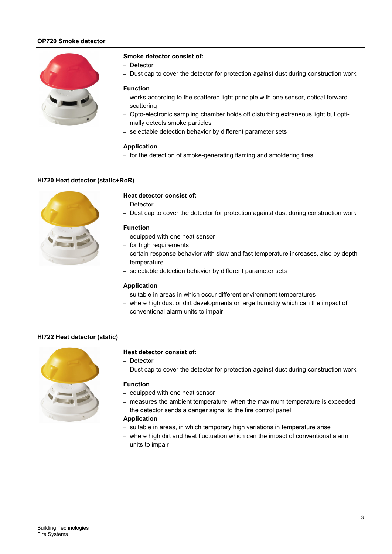#### **OP720 Smoke detector**



#### **Smoke detector consist of:**

- Detector
- Dust cap to cover the detector for protection against dust during construction work

#### **Function**

- works according to the scattered light principle with one sensor, optical forward scattering
- Opto-electronic sampling chamber holds off disturbing extraneous light but optimally detects smoke particles
- selectable detection behavior by different parameter sets

#### **Application**

– for the detection of smoke-generating flaming and smoldering fires

#### **HI720 Heat detector (static+RoR)**



#### **Heat detector consist of:**

- Detector
- Dust cap to cover the detector for protection against dust during construction work

#### **Function**

- equipped with one heat sensor
- for high requirements
- certain response behavior with slow and fast temperature increases, also by depth temperature
- selectable detection behavior by different parameter sets

#### **Application**

- suitable in areas in which occur different environment temperatures
- where high dust or dirt developments or large humidity which can the impact of conventional alarm units to impair

#### **HI722 Heat detector (static)**



#### **Heat detector consist of:**

- Detector
- Dust cap to cover the detector for protection against dust during construction work

#### **Function**

- equipped with one heat sensor
- measures the ambient temperature, when the maximum temperature is exceeded the detector sends a danger signal to the fire control panel

#### **Application**

- suitable in areas, in which temporary high variations in temperature arise
- where high dirt and heat fluctuation which can the impact of conventional alarm units to impair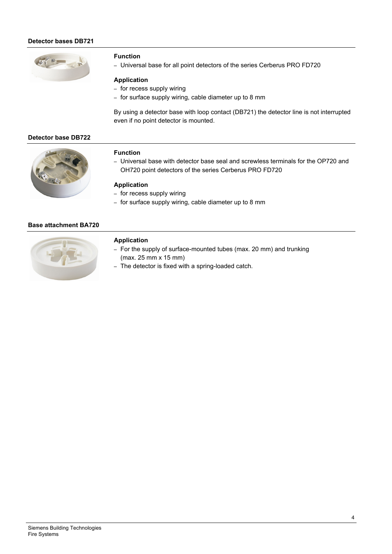#### **Detector bases DB721**



#### **Function**

– Universal base for all point detectors of the series Cerberus PRO FD720

#### **Application**

- for recess supply wiring
- for surface supply wiring, cable diameter up to 8 mm

By using a detector base with loop contact (DB721) the detector line is not interrupted even if no point detector is mounted.

#### **Detector base DB722**



#### **Function**

– Universal base with detector base seal and screwless terminals for the OP720 and OH720 point detectors of the series Cerberus PRO FD720

#### **Application**

- for recess supply wiring
- for surface supply wiring, cable diameter up to 8 mm

#### **Base attachment BA720**



#### **Application**

- For the supply of surface-mounted tubes (max. 20 mm) and trunking (max. 25 mm x 15 mm)
- The detector is fixed with a spring-loaded catch.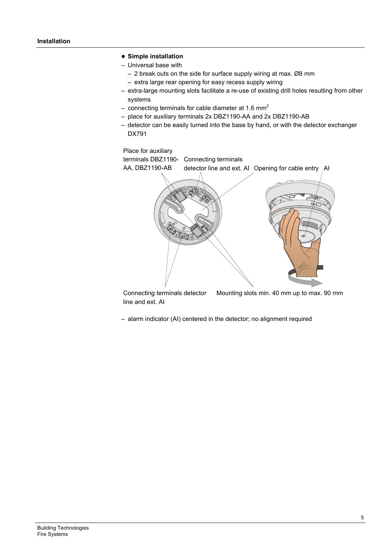#### **Simple installation**

- Universal base with
	- 2 break outs on the side for surface supply wiring at max. Ø8 mm
	- extra large rear opening for easy recess supply wiring
- extra-large mounting slots facilitate a re-use of existing drill holes resulting from other systems
- connecting terminals for cable diameter at 1.6  $mm<sup>2</sup>$
- place for auxiliary terminals 2x DBZ1190-AA and 2x DBZ1190-AB
- detector can be easily turned into the base by hand, or with the detector exchanger DX791

#### Place for auxiliary

terminals DBZ1190- Connecting terminals AA, DBZ1190-AB detector line and ext. AI Opening for cable entry AI 6 ひ  $e^{\sqrt{2}}$ 1b

Connecting terminals detector line and ext. AI Mounting slots min. 40 mm up to max. 90 mm

– alarm indicator (AI) centered in the detector; no alignment required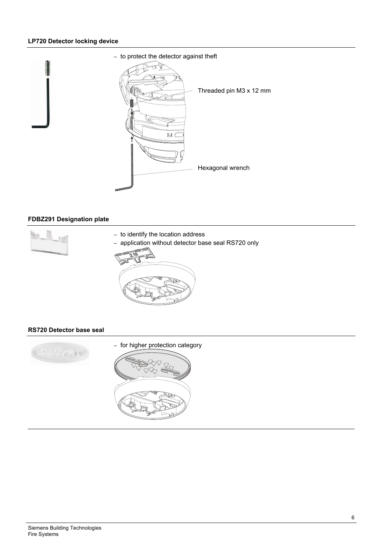#### **LP720 Detector locking device**



#### **FDBZ291 Designation plate**



#### **RS720 Detector base seal**

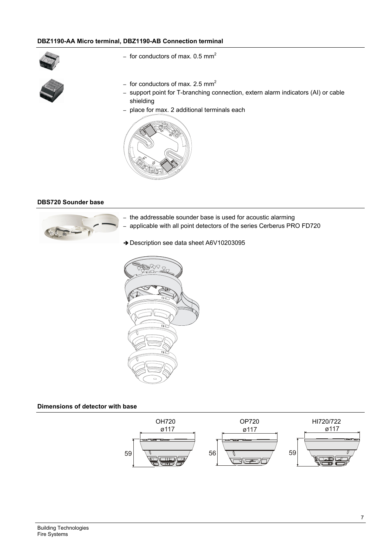#### **DBZ1190-AA Micro terminal, DBZ1190-AB Connection terminal**



- for conductors of max.  $0.5$  mm<sup>2</sup>
- for conductors of max. 2.5  $mm<sup>2</sup>$
- support point for T-branching connection, extern alarm indicators (AI) or cable shielding
- place for max. 2 additional terminals each



#### **DBS720 Sounder base**



- the addressable sounder base is used for acoustic alarming
- applicable with all point detectors of the series Cerberus PRO FD720
- → Description see data sheet A6V10203095



#### **Dimensions of detector with base**

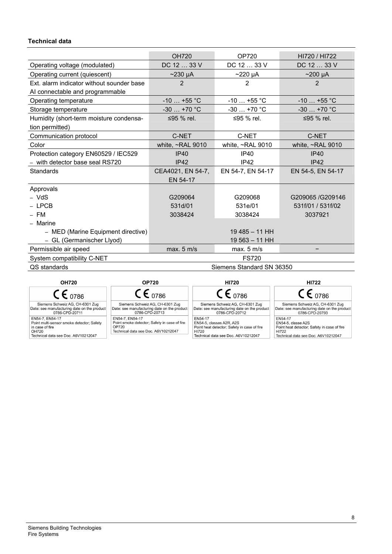#### **Technical data**

|                                           | <b>OH720</b>              | <b>OP720</b>           | HI720 / HI722          |  |
|-------------------------------------------|---------------------------|------------------------|------------------------|--|
| Operating voltage (modulated)             | DC 12  33 V               | DC 12  33 V            | DC 12  33 V            |  |
| Operating current (quiescent)             | $\sim$ 230 µA             | $\sim$ 220 µA          | $\sim$ 200 µA          |  |
| Ext. alarm indicator without sounder base | $\overline{2}$            | 2                      | $\overline{2}$         |  |
| AI connectable and programmable           |                           |                        |                        |  |
| Operating temperature                     | $-10$ +55 °C              | $-10+55$ °C            | $-10+55$ °C            |  |
| Storage temperature                       | $-30$ +70 °C              | $-30+70$ °C            | $-30$ +70 °C           |  |
| Humidity (short-term moisture condensa-   | ≤95 % rel.                | ≤95 % rel.             | ≤95 % rel.             |  |
| tion permitted)                           |                           |                        |                        |  |
| Communication protocol                    | C-NET                     | C-NET                  | C-NET                  |  |
| Color                                     | white, ~RAL 9010          | white, $\sim$ RAL 9010 | white, $\sim$ RAL 9010 |  |
| Protection category EN60529 / IEC529      | IP40                      | IP40                   | IP40                   |  |
| - with detector base seal RS720           | IP42                      | IP42                   | IP42                   |  |
| <b>Standards</b>                          | CEA4021, EN 54-7,         | EN 54-7, EN 54-17      | EN 54-5, EN 54-17      |  |
|                                           | EN 54-17                  |                        |                        |  |
| Approvals                                 |                           |                        |                        |  |
| - VdS                                     | G209064                   | G209068                | G209065/G209146        |  |
| $-$ I PCB                                 | 531d/01                   | 531e/01                | 531f/01 / 531f/02      |  |
| $-$ FM                                    | 3038424                   | 3038424                | 3037921                |  |
| - Marine                                  |                           |                        |                        |  |
| - MED (Marine Equipment directive)        |                           | $19485 - 11HH$         |                        |  |
| - GL (Germanischer Llyod)                 |                           | 19 563 - 11 HH         |                        |  |
| Permissible air speed                     | max. 5 m/s                | max. 5 m/s             |                        |  |
| System compatibility C-NET                |                           | <b>FS720</b>           |                        |  |
| QS standards                              | Siemens Standard SN 36350 |                        |                        |  |

| <b>OH720</b>                                                                                                                    | <b>OP720</b>                                                                                                    | <b>HI720</b>                                                                                                                       | <b>HI722</b>                                                                                                                 |
|---------------------------------------------------------------------------------------------------------------------------------|-----------------------------------------------------------------------------------------------------------------|------------------------------------------------------------------------------------------------------------------------------------|------------------------------------------------------------------------------------------------------------------------------|
| $CE_{0786}$                                                                                                                     | $\mathsf{CE}_{.0786}$                                                                                           | $\mathsf{CE}_{0786}$                                                                                                               | $\mathsf{CE}_{0786}$                                                                                                         |
| Siemens Schweiz AG, CH-6301 Zug<br>Date: see manufacturing date on the product<br>0786-CPD-20711                                | Siemens Schweiz AG, CH-6301 Zug<br>Date: see manufacturing date on the product<br>0786-CPD-20713                | Siemens Schweiz AG, CH-6301 Zug<br>Date: see manufacturing date on the product<br>0786-CPD-20712                                   | Siemens Schweiz AG, CH-6301 Zug<br>Date: see manufacturing date on the product<br>0786-CPD-20793                             |
| EN54-7, EN54-17<br>Point multi-sensor smoke detector; Safety<br>in case of fire<br>OH720<br>Technical data see Doc. A6V10212047 | EN54-7, EN54-17<br>Point smoke detector; Safety in case of fire<br>OP720<br>Technical data see Doc. A6V10212047 | EN54-17<br>EN54-5, classes A2R, A2S<br>Point heat detector; Safety in case of fire<br>HI720<br>Technical data see Doc. A6V10212047 | EN54-17<br>EN54-5, classe A2S<br>Point heat detector; Safety in case of fire<br>HI722<br>Technical data see Doc. A6V10212047 |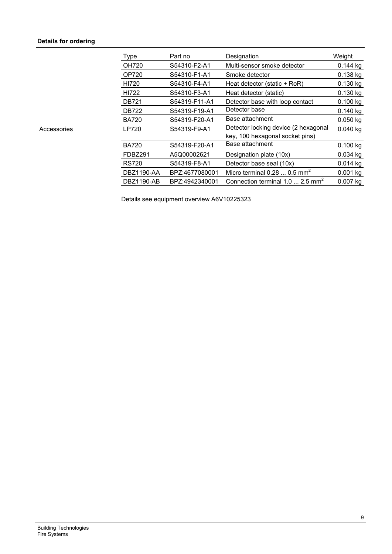#### **Details for ordering**

|             | Type              | Part no        | Designation                                  | Weight     |
|-------------|-------------------|----------------|----------------------------------------------|------------|
|             | <b>OH720</b>      | S54310-F2-A1   | Multi-sensor smoke detector                  | $0.144$ kg |
|             | <b>OP720</b>      | S54310-F1-A1   | Smoke detector                               | 0.138 kg   |
|             | HI720             | S54310-F4-A1   | Heat detector (static + RoR)                 | 0.130 kg   |
|             | HI722             | S54310-F3-A1   | Heat detector (static)                       | 0.130 kg   |
|             | <b>DB721</b>      | S54319-F11-A1  | Detector base with loop contact              | 0.100 kg   |
|             | <b>DB722</b>      | S54319-F19-A1  | Detector base                                | $0.140$ kg |
|             | <b>BA720</b>      | S54319-F20-A1  | Base attachment                              | $0.050$ kg |
| Accessories | <b>LP720</b>      | S54319-F9-A1   | Detector locking device (2 hexagonal         | $0.040$ kg |
|             |                   |                | key, 100 hexagonal socket pins)              |            |
|             | <b>BA720</b>      | S54319-F20-A1  | Base attachment                              | 0.100 kg   |
|             | FDBZ291           | A5Q00002621    | Designation plate (10x)                      | $0.034$ kg |
|             | <b>RS720</b>      | S54319-F8-A1   | Detector base seal (10x)                     | $0.014$ kg |
|             | <b>DBZ1190-AA</b> | BPZ:4677080001 | Micro terminal $0.280.5$ mm <sup>2</sup>     | $0.001$ kg |
|             | <b>DBZ1190-AB</b> | BPZ:4942340001 | Connection terminal 1.0  2.5 mm <sup>2</sup> | $0.007$ kg |
|             |                   |                |                                              |            |

Details see equipment overview A6V10225323